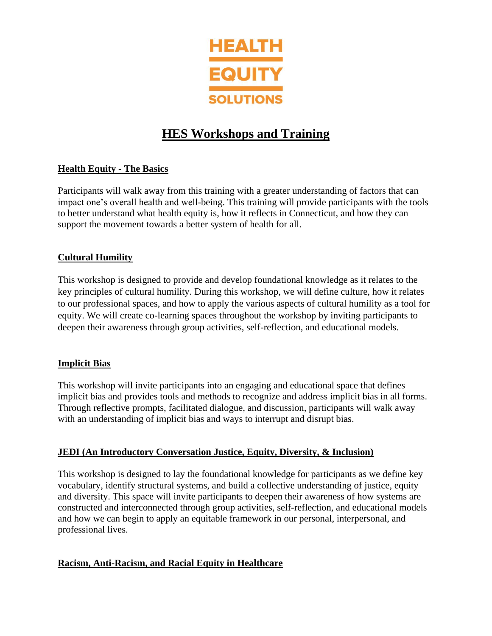

# **HES Workshops and Training**

# **Health Equity - The Basics**

Participants will walk away from this training with a greater understanding of factors that can impact one's overall health and well-being. This training will provide participants with the tools to better understand what health equity is, how it reflects in Connecticut, and how they can support the movement towards a better system of health for all.

# **Cultural Humility**

This workshop is designed to provide and develop foundational knowledge as it relates to the key principles of cultural humility. During this workshop, we will define culture, how it relates to our professional spaces, and how to apply the various aspects of cultural humility as a tool for equity. We will create co-learning spaces throughout the workshop by inviting participants to deepen their awareness through group activities, self-reflection, and educational models.

## **Implicit Bias**

This workshop will invite participants into an engaging and educational space that defines implicit bias and provides tools and methods to recognize and address implicit bias in all forms. Through reflective prompts, facilitated dialogue, and discussion, participants will walk away with an understanding of implicit bias and ways to interrupt and disrupt bias.

## **JEDI (An Introductory Conversation Justice, Equity, Diversity, & Inclusion)**

This workshop is designed to lay the foundational knowledge for participants as we define key vocabulary, identify structural systems, and build a collective understanding of justice, equity and diversity. This space will invite participants to deepen their awareness of how systems are constructed and interconnected through group activities, self-reflection, and educational models and how we can begin to apply an equitable framework in our personal, interpersonal, and professional lives.

## **Racism, Anti-Racism, and Racial Equity in Healthcare**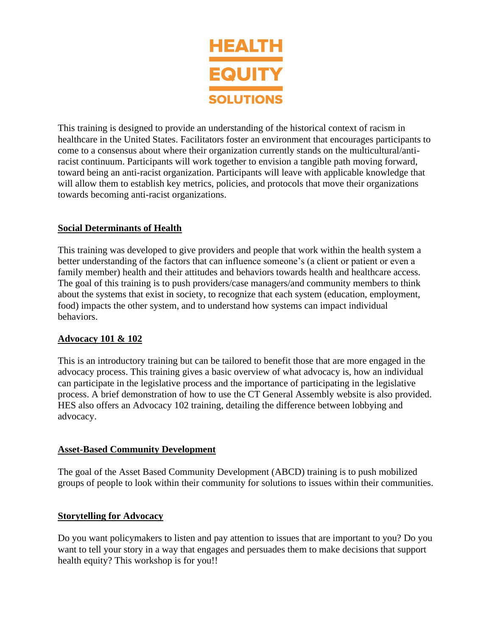

This training is designed to provide an understanding of the historical context of racism in healthcare in the United States. Facilitators foster an environment that encourages participants to come to a consensus about where their organization currently stands on the multicultural/antiracist continuum. Participants will work together to envision a tangible path moving forward, toward being an anti-racist organization. Participants will leave with applicable knowledge that will allow them to establish key metrics, policies, and protocols that move their organizations towards becoming anti-racist organizations.

## **Social Determinants of Health**

This training was developed to give providers and people that work within the health system a better understanding of the factors that can influence someone's (a client or patient or even a family member) health and their attitudes and behaviors towards health and healthcare access. The goal of this training is to push providers/case managers/and community members to think about the systems that exist in society, to recognize that each system (education, employment, food) impacts the other system, and to understand how systems can impact individual behaviors.

#### **Advocacy 101 & 102**

This is an introductory training but can be tailored to benefit those that are more engaged in the advocacy process. This training gives a basic overview of what advocacy is, how an individual can participate in the legislative process and the importance of participating in the legislative process. A brief demonstration of how to use the CT General Assembly website is also provided. HES also offers an Advocacy 102 training, detailing the difference between lobbying and advocacy.

#### **Asset-Based Community Development**

The goal of the Asset Based Community Development (ABCD) training is to push mobilized groups of people to look within their community for solutions to issues within their communities.

#### **Storytelling for Advocacy**

Do you want policymakers to listen and pay attention to issues that are important to you? Do you want to tell your story in a way that engages and persuades them to make decisions that support health equity? This workshop is for you!!